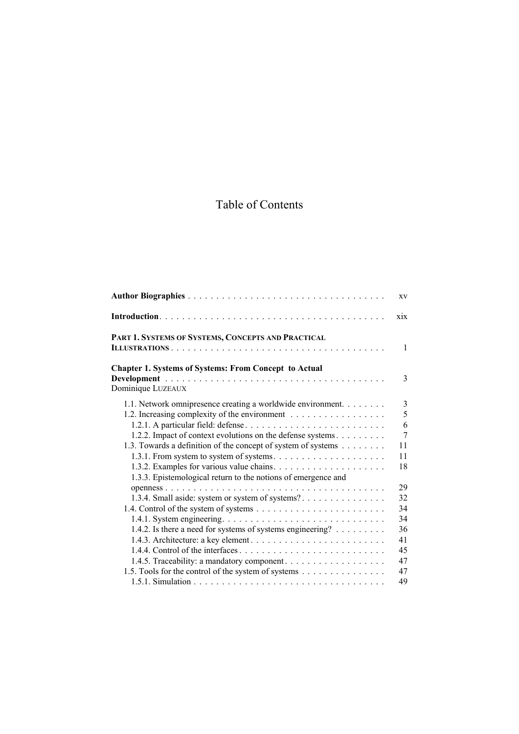# Table of Contents

|                                                               | XV             |
|---------------------------------------------------------------|----------------|
|                                                               | xix            |
| PART 1. SYSTEMS OF SYSTEMS, CONCEPTS AND PRACTICAL            |                |
|                                                               | $\mathbf{1}$   |
| <b>Chapter 1. Systems of Systems: From Concept to Actual</b>  |                |
|                                                               | 3              |
| Dominique LUZEAUX                                             |                |
| 1.1. Network omnipresence creating a worldwide environment.   | 3              |
| 1.2. Increasing complexity of the environment                 | 5              |
| 1.2.1. A particular field: defense                            | 6              |
| 1.2.2. Impact of context evolutions on the defense systems.   | $\overline{7}$ |
| 1.3. Towards a definition of the concept of system of systems | 11             |
|                                                               | 11             |
|                                                               | 18             |
| 1.3.3. Epistemological return to the notions of emergence and |                |
|                                                               | 29             |
| 1.3.4. Small aside: system or system of systems?              | 32             |
|                                                               | 34             |
|                                                               | 34             |
| 1.4.2. Is there a need for systems of systems engineering?    | 36             |
| 1.4.3. Architecture: a key element                            | 41             |
|                                                               | 45             |
| 1.4.5. Traceability: a mandatory component.                   | 47             |
| 1.5. Tools for the control of the system of systems           | 47             |
|                                                               | 49             |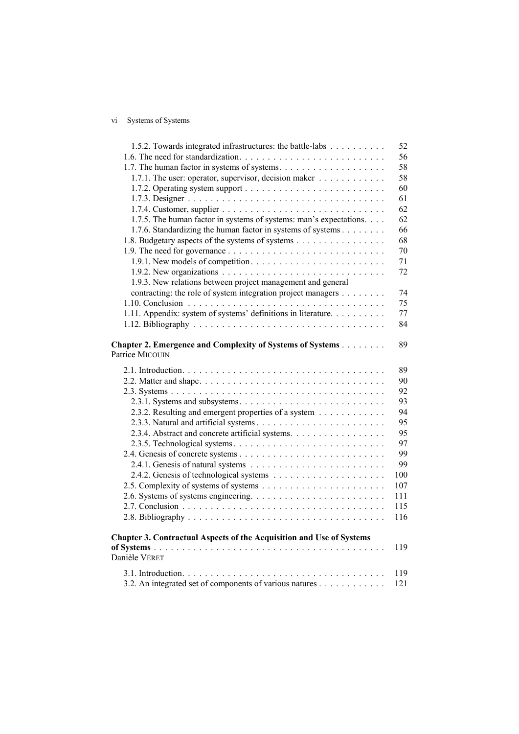# vi Systems of Systems

| 1.5.2. Towards integrated infrastructures: the battle-labs                   | 52  |
|------------------------------------------------------------------------------|-----|
|                                                                              | 56  |
|                                                                              | 58  |
| 1.7.1. The user: operator, supervisor, decision maker                        | 58  |
|                                                                              | 60  |
|                                                                              | 61  |
|                                                                              | 62  |
| 1.7.5. The human factor in systems of systems: man's expectations.           | 62  |
| 1.7.6. Standardizing the human factor in systems of systems                  | 66  |
| 1.8. Budgetary aspects of the systems of systems                             | 68  |
|                                                                              | 70  |
|                                                                              | 71  |
|                                                                              | 72  |
| 1.9.3. New relations between project management and general                  |     |
| contracting: the role of system integration project managers                 | 74  |
|                                                                              | 75  |
| 1.11. Appendix: system of systems' definitions in literature.                | 77  |
|                                                                              | 84  |
|                                                                              |     |
| Chapter 2. Emergence and Complexity of Systems of Systems<br>Patrice MICOUIN | 89  |
|                                                                              | 89  |
|                                                                              | 90  |
|                                                                              | 92  |
|                                                                              | 93  |
| 2.3.2. Resulting and emergent properties of a system                         | 94  |
|                                                                              | 95  |
| 2.3.4. Abstract and concrete artificial systems.                             | 95  |
|                                                                              | 97  |
|                                                                              | 99  |
|                                                                              | 99  |
|                                                                              | 100 |
|                                                                              | 107 |
|                                                                              | 111 |
|                                                                              | 115 |
|                                                                              | 116 |
|                                                                              |     |
| Chapter 3. Contractual Aspects of the Acquisition and Use of Systems         |     |
| Danièle VÉRET                                                                | 119 |
|                                                                              | 119 |
| 3.2. An integrated set of components of various natures                      | 121 |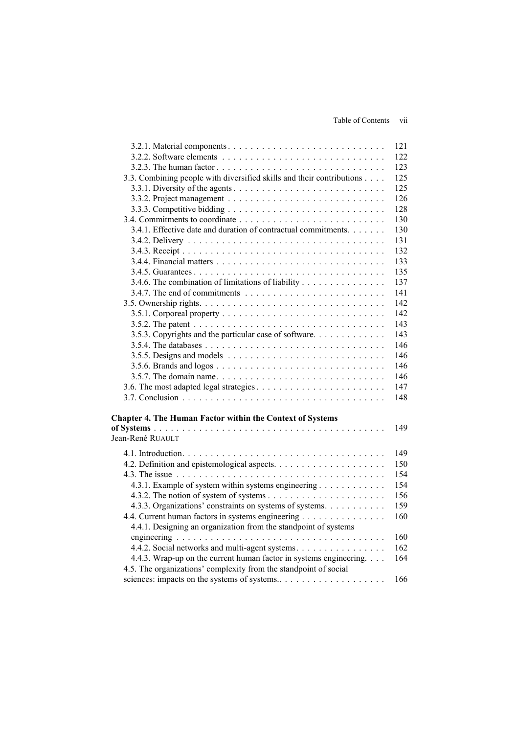|                                                                                                                                        | 121 |
|----------------------------------------------------------------------------------------------------------------------------------------|-----|
|                                                                                                                                        | 122 |
|                                                                                                                                        | 123 |
| 3.3. Combining people with diversified skills and their contributions                                                                  | 125 |
|                                                                                                                                        | 125 |
|                                                                                                                                        | 126 |
|                                                                                                                                        | 128 |
|                                                                                                                                        | 130 |
| 3.4.1. Effective date and duration of contractual commitments.                                                                         | 130 |
|                                                                                                                                        | 131 |
|                                                                                                                                        | 132 |
|                                                                                                                                        | 133 |
|                                                                                                                                        | 135 |
| 3.4.6. The combination of limitations of liability                                                                                     | 137 |
|                                                                                                                                        | 141 |
|                                                                                                                                        | 142 |
|                                                                                                                                        | 142 |
|                                                                                                                                        | 143 |
| 3.5.3. Copyrights and the particular case of software                                                                                  | 143 |
|                                                                                                                                        | 146 |
|                                                                                                                                        | 146 |
|                                                                                                                                        | 146 |
|                                                                                                                                        | 146 |
|                                                                                                                                        | 147 |
|                                                                                                                                        | 148 |
| <b>Chapter 4. The Human Factor within the Context of Systems</b>                                                                       |     |
|                                                                                                                                        | 149 |
| Jean-René RUAULT                                                                                                                       |     |
|                                                                                                                                        | 149 |
|                                                                                                                                        | 150 |
|                                                                                                                                        | 154 |
| 4.3.1. Example of system within systems engineering                                                                                    | 154 |
|                                                                                                                                        | 156 |
| 4.3.3. Organizations' constraints on systems of systems.                                                                               | 159 |
|                                                                                                                                        | 160 |
| 4.4. Current human factors in systems engineering<br>4.4.1. Designing an organization from the standpoint of systems                   |     |
|                                                                                                                                        | 160 |
| 4.4.2. Social networks and multi-agent systems.                                                                                        | 162 |
| 4.4.3. Wrap-up on the current human factor in systems engineering.<br>4.5. The organizations' complexity from the standpoint of social | 164 |
|                                                                                                                                        | 166 |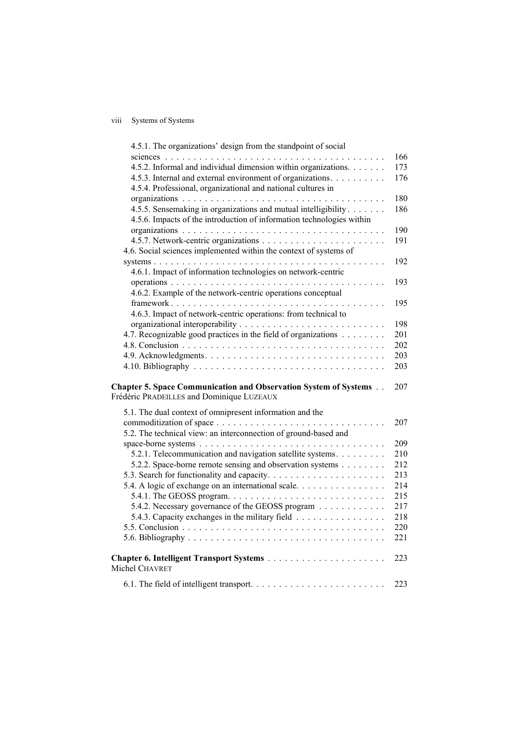# viii Systems of Systems

| 4.5.1. The organizations' design from the standpoint of social          |     |
|-------------------------------------------------------------------------|-----|
|                                                                         | 166 |
| 4.5.2. Informal and individual dimension within organizations.          | 173 |
| 4.5.3. Internal and external environment of organizations.              | 176 |
| 4.5.4. Professional, organizational and national cultures in            |     |
|                                                                         | 180 |
| 4.5.5. Sensemaking in organizations and mutual intelligibility          | 186 |
| 4.5.6. Impacts of the introduction of information technologies within   |     |
|                                                                         | 190 |
|                                                                         | 191 |
| 4.6. Social sciences implemented within the context of systems of       |     |
|                                                                         | 192 |
| 4.6.1. Impact of information technologies on network-centric            |     |
|                                                                         | 193 |
| 4.6.2. Example of the network-centric operations conceptual             |     |
|                                                                         | 195 |
| 4.6.3. Impact of network-centric operations: from technical to          |     |
|                                                                         | 198 |
| 4.7. Recognizable good practices in the field of organizations          | 201 |
|                                                                         | 202 |
|                                                                         | 203 |
|                                                                         | 203 |
|                                                                         |     |
| <b>Chapter 5. Space Communication and Observation System of Systems</b> | 207 |
| Frédéric PRADEILLES and Dominique LUZEAUX                               |     |
| 5.1. The dual context of omnipresent information and the                |     |
|                                                                         |     |
|                                                                         | 207 |
|                                                                         |     |
| 5.2. The technical view: an interconnection of ground-based and         | 209 |
|                                                                         |     |
| 5.2.1. Telecommunication and navigation satellite systems.              | 210 |
| 5.2.2. Space-borne remote sensing and observation systems               | 212 |
|                                                                         | 213 |
| 5.4. A logic of exchange on an international scale.                     | 214 |
|                                                                         | 215 |
| 5.4.2. Necessary governance of the GEOSS program                        | 217 |
| 5.4.3. Capacity exchanges in the military field                         | 218 |
|                                                                         | 220 |
|                                                                         | 221 |
|                                                                         | 223 |
| Michel CHAVRET                                                          |     |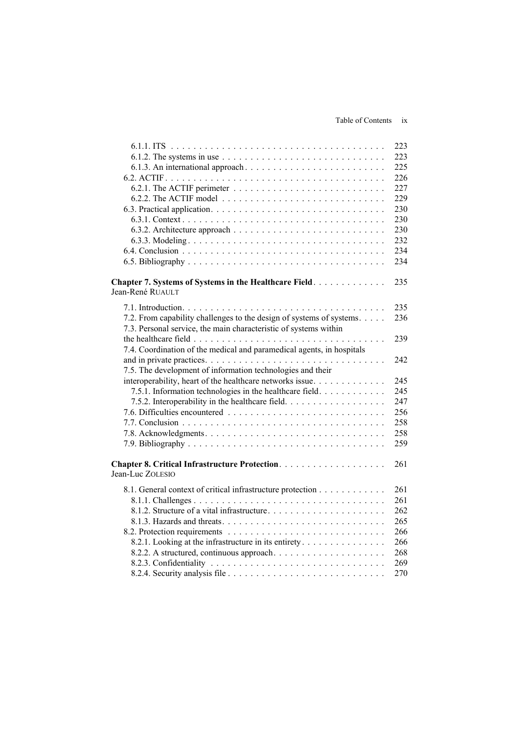### Table of Contents ix

|                                                                                                     | 223 |
|-----------------------------------------------------------------------------------------------------|-----|
| 6.1.2. The systems in use $\dots \dots \dots \dots \dots \dots \dots \dots \dots \dots \dots \dots$ | 223 |
|                                                                                                     | 225 |
|                                                                                                     | 226 |
|                                                                                                     | 227 |
|                                                                                                     | 229 |
|                                                                                                     | 230 |
|                                                                                                     | 230 |
|                                                                                                     | 230 |
|                                                                                                     | 232 |
|                                                                                                     | 234 |
|                                                                                                     | 234 |
|                                                                                                     |     |
|                                                                                                     | 235 |
| Chapter 7. Systems of Systems in the Healthcare Field.<br>Jean-René RUAULT                          |     |
|                                                                                                     |     |
|                                                                                                     | 235 |
| 7.2. From capability challenges to the design of systems of systems.                                | 236 |
| 7.3. Personal service, the main characteristic of systems within                                    |     |
|                                                                                                     | 239 |
| 7.4. Coordination of the medical and paramedical agents, in hospitals                               |     |
|                                                                                                     | 242 |
| 7.5. The development of information technologies and their                                          |     |
| interoperability, heart of the healthcare networks issue.                                           | 245 |
| 7.5.1. Information technologies in the healthcare field.                                            | 245 |
| 7.5.2. Interoperability in the healthcare field.                                                    | 247 |
|                                                                                                     | 256 |
|                                                                                                     | 258 |
|                                                                                                     | 258 |
|                                                                                                     | 259 |
|                                                                                                     |     |
|                                                                                                     | 261 |
| Jean-Luc ZOLESIO                                                                                    |     |
|                                                                                                     |     |
| 8.1. General context of critical infrastructure protection                                          | 261 |
|                                                                                                     | 261 |
|                                                                                                     | 262 |
|                                                                                                     | 265 |
|                                                                                                     | 266 |
| 8.2.1. Looking at the infrastructure in its entirety                                                | 266 |
|                                                                                                     | 268 |
|                                                                                                     | 269 |
|                                                                                                     | 270 |
|                                                                                                     |     |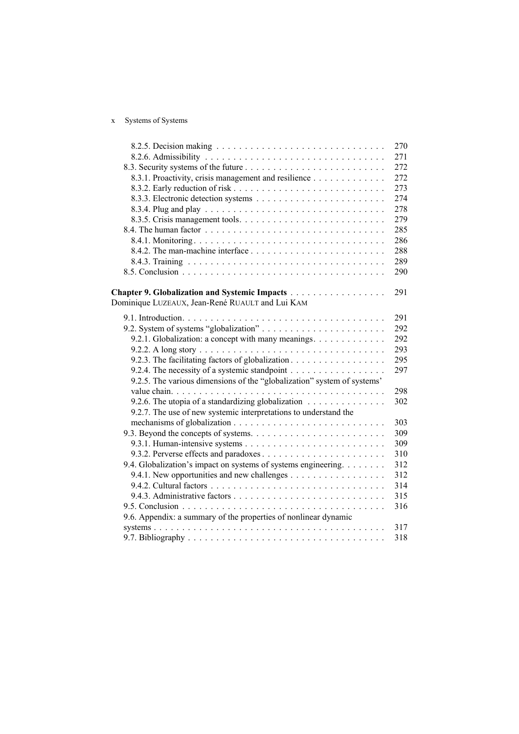# x Systems of Systems

|                                                                         | 270 |
|-------------------------------------------------------------------------|-----|
|                                                                         | 271 |
|                                                                         | 272 |
| 8.3.1. Proactivity, crisis management and resilience                    | 272 |
|                                                                         | 273 |
|                                                                         | 274 |
|                                                                         | 278 |
|                                                                         | 279 |
|                                                                         | 285 |
|                                                                         | 286 |
|                                                                         | 288 |
|                                                                         | 289 |
|                                                                         | 290 |
|                                                                         |     |
| Chapter 9. Globalization and Systemic Impacts                           | 291 |
| Dominique LUZEAUX, Jean-René RUAULT and Lui KAM                         |     |
|                                                                         | 291 |
|                                                                         | 292 |
| 9.2.1. Globalization: a concept with many meanings.                     | 292 |
|                                                                         | 293 |
| 9.2.3. The facilitating factors of globalization.                       | 295 |
| 9.2.4. The necessity of a systemic standpoint                           | 297 |
| 9.2.5. The various dimensions of the "globalization" system of systems' |     |
|                                                                         | 298 |
| 9.2.6. The utopia of a standardizing globalization                      | 302 |
| 9.2.7. The use of new systemic interpretations to understand the        |     |
|                                                                         | 303 |
|                                                                         | 309 |
|                                                                         | 309 |
|                                                                         | 310 |
| 9.4. Globalization's impact on systems of systems engineering.          | 312 |
|                                                                         | 312 |
|                                                                         | 314 |
|                                                                         | 315 |
|                                                                         | 316 |
| 9.6. Appendix: a summary of the properties of nonlinear dynamic         |     |
|                                                                         | 317 |
|                                                                         | 318 |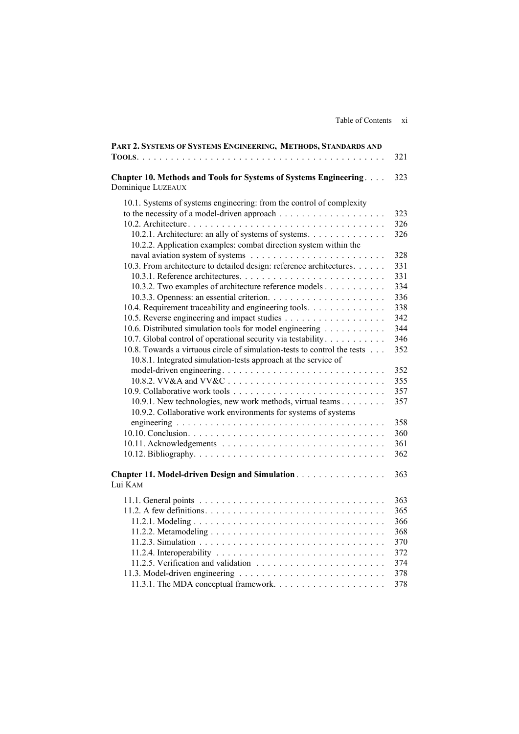| PART 2. SYSTEMS OF SYSTEMS ENGINEERING, METHODS, STANDARDS AND                                                                                                                                                                                                                              | 321               |
|---------------------------------------------------------------------------------------------------------------------------------------------------------------------------------------------------------------------------------------------------------------------------------------------|-------------------|
| Chapter 10. Methods and Tools for Systems of Systems Engineering<br>Dominique LUZEAUX                                                                                                                                                                                                       | 323               |
| 10.1. Systems of systems engineering: from the control of complexity<br>to the necessity of a model-driven approach $\dots \dots \dots \dots \dots \dots \dots$<br>10.2.1. Architecture: an ally of systems of systems.<br>10.2.2. Application examples: combat direction system within the | 323<br>326<br>326 |
|                                                                                                                                                                                                                                                                                             | 328               |
| 10.3. From architecture to detailed design: reference architectures.                                                                                                                                                                                                                        | 331               |
|                                                                                                                                                                                                                                                                                             | 331               |
| 10.3.2. Two examples of architecture reference models                                                                                                                                                                                                                                       | 334               |
|                                                                                                                                                                                                                                                                                             | 336               |
| 10.4. Requirement traceability and engineering tools.                                                                                                                                                                                                                                       | 338               |
|                                                                                                                                                                                                                                                                                             | 342               |
| 10.6. Distributed simulation tools for model engineering                                                                                                                                                                                                                                    | 344               |
| 10.7. Global control of operational security via testability                                                                                                                                                                                                                                | 346               |
| 10.8. Towards a virtuous circle of simulation-tests to control the tests<br>10.8.1. Integrated simulation-tests approach at the service of                                                                                                                                                  | 352               |
|                                                                                                                                                                                                                                                                                             | 352               |
|                                                                                                                                                                                                                                                                                             | 355               |
|                                                                                                                                                                                                                                                                                             | 357               |
| 10.9.1. New technologies, new work methods, virtual teams<br>10.9.2. Collaborative work environments for systems of systems                                                                                                                                                                 | 357               |
|                                                                                                                                                                                                                                                                                             | 358               |
|                                                                                                                                                                                                                                                                                             | 360               |
|                                                                                                                                                                                                                                                                                             | 361               |
|                                                                                                                                                                                                                                                                                             | 362               |
| Chapter 11. Model-driven Design and Simulation.<br>Lui KAM                                                                                                                                                                                                                                  | 363               |
|                                                                                                                                                                                                                                                                                             | 363               |
|                                                                                                                                                                                                                                                                                             | 365               |
|                                                                                                                                                                                                                                                                                             | 366               |
|                                                                                                                                                                                                                                                                                             | 368               |
|                                                                                                                                                                                                                                                                                             | 370               |
|                                                                                                                                                                                                                                                                                             | 372               |
|                                                                                                                                                                                                                                                                                             | 374               |
|                                                                                                                                                                                                                                                                                             | 378               |
|                                                                                                                                                                                                                                                                                             | 378               |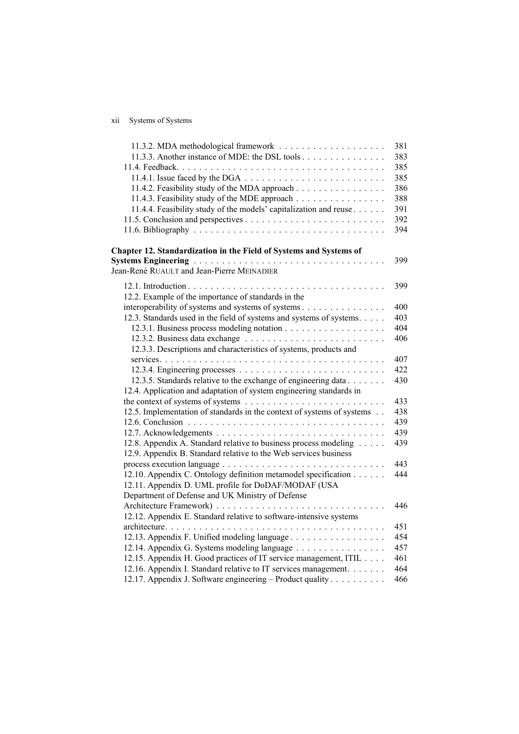# xii Systems of Systems

|                                                                                                                                      | 381 |
|--------------------------------------------------------------------------------------------------------------------------------------|-----|
| 11.3.3. Another instance of MDE: the DSL tools                                                                                       | 383 |
|                                                                                                                                      | 385 |
|                                                                                                                                      | 385 |
| 11.4.2. Feasibility study of the MDA approach                                                                                        | 386 |
| 11.4.3. Feasibility study of the MDE approach                                                                                        | 388 |
| 11.4.4. Feasibility study of the models' capitalization and reuse                                                                    | 391 |
|                                                                                                                                      | 392 |
|                                                                                                                                      | 394 |
| Chapter 12. Standardization in the Field of Systems and Systems of                                                                   |     |
| <b>Systems Engineering Active Activities Acts and Systems Engineering Activities</b>                                                 | 399 |
| Jean-René RUAULT and Jean-Pierre MEINADIER                                                                                           |     |
|                                                                                                                                      | 399 |
| 12.2. Example of the importance of standards in the                                                                                  |     |
| interoperability of systems and systems of systems                                                                                   | 400 |
| 12.3. Standards used in the field of systems and systems of systems.                                                                 | 403 |
|                                                                                                                                      | 404 |
|                                                                                                                                      | 406 |
| 12.3.3. Descriptions and characteristics of systems, products and                                                                    |     |
|                                                                                                                                      | 407 |
|                                                                                                                                      | 422 |
| 12.3.5. Standards relative to the exchange of engineering data                                                                       | 430 |
| 12.4. Application and adaptation of system engineering standards in                                                                  |     |
|                                                                                                                                      | 433 |
| 12.5. Implementation of standards in the context of systems of systems                                                               | 438 |
|                                                                                                                                      | 439 |
|                                                                                                                                      | 439 |
| 12.8. Appendix A. Standard relative to business process modeling<br>12.9. Appendix B. Standard relative to the Web services business | 439 |
|                                                                                                                                      | 443 |
| 12.10. Appendix C. Ontology definition metamodel specification                                                                       | 444 |
| 12.11. Appendix D. UML profile for DoDAF/MODAF (USA                                                                                  |     |
| Department of Defense and UK Ministry of Defense                                                                                     |     |
|                                                                                                                                      | 446 |
| 12.12. Appendix E. Standard relative to software-intensive systems                                                                   |     |
|                                                                                                                                      | 451 |
| 12.13. Appendix F. Unified modeling language                                                                                         | 454 |
| 12.14. Appendix G. Systems modeling language                                                                                         | 457 |
| 12.15. Appendix H. Good practices of IT service management, ITIL                                                                     | 461 |
| 12.16. Appendix I. Standard relative to IT services management.                                                                      | 464 |
| 12.17. Appendix J. Software engineering – Product quality                                                                            | 466 |
|                                                                                                                                      |     |